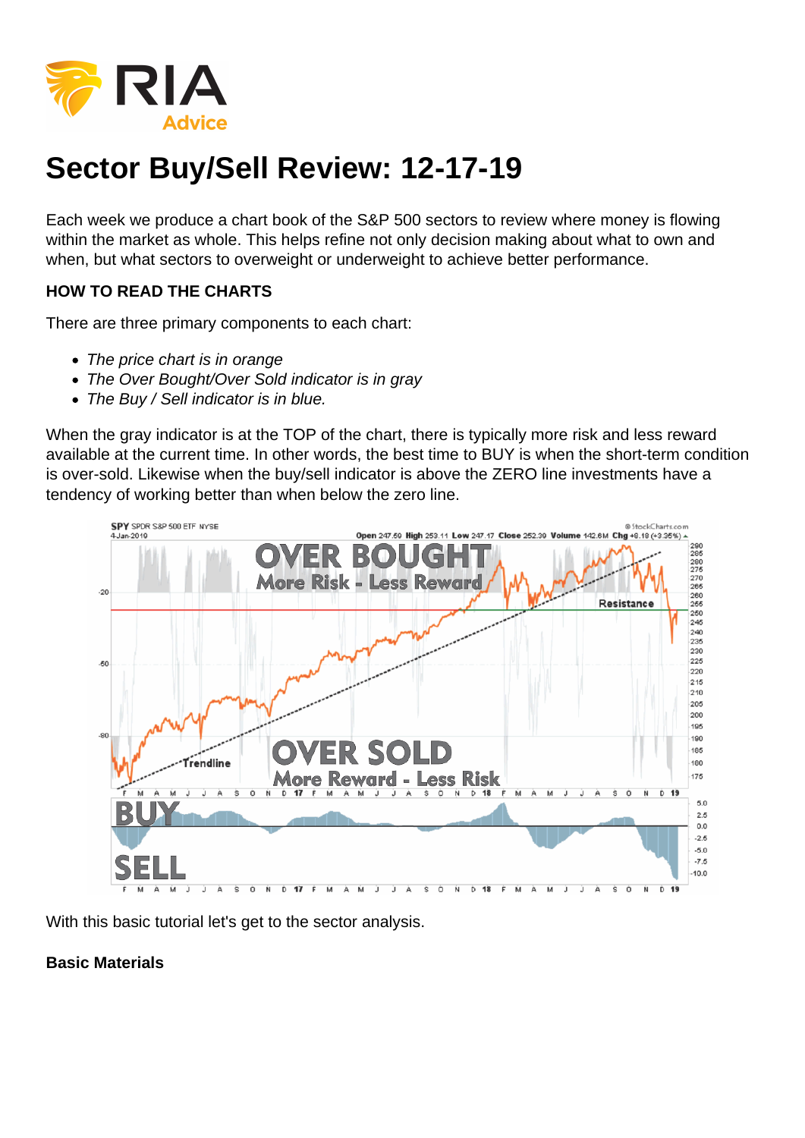## Sector Buy/Sell Review: 12-17-19

Each week we produce a chart book of the S&P 500 sectors to review where money is flowing within the market as whole. This helps refine not only decision making about what to own and when, but what sectors to overweight or underweight to achieve better performance.

HOW TO READ THE CHARTS

There are three primary components to each chart:

- The price chart is in orange
- The Over Bought/Over Sold indicator is in gray
- The Buy / Sell indicator is in blue.

When the gray indicator is at the TOP of the chart, there is typically more risk and less reward available at the current time. In other words, the best time to BUY is when the short-term condition is over-sold. Likewise when the buy/sell indicator is above the ZERO line investments have a tendency of working better than when below the zero line.

With this basic tutorial let's get to the sector analysis.

Basic Materials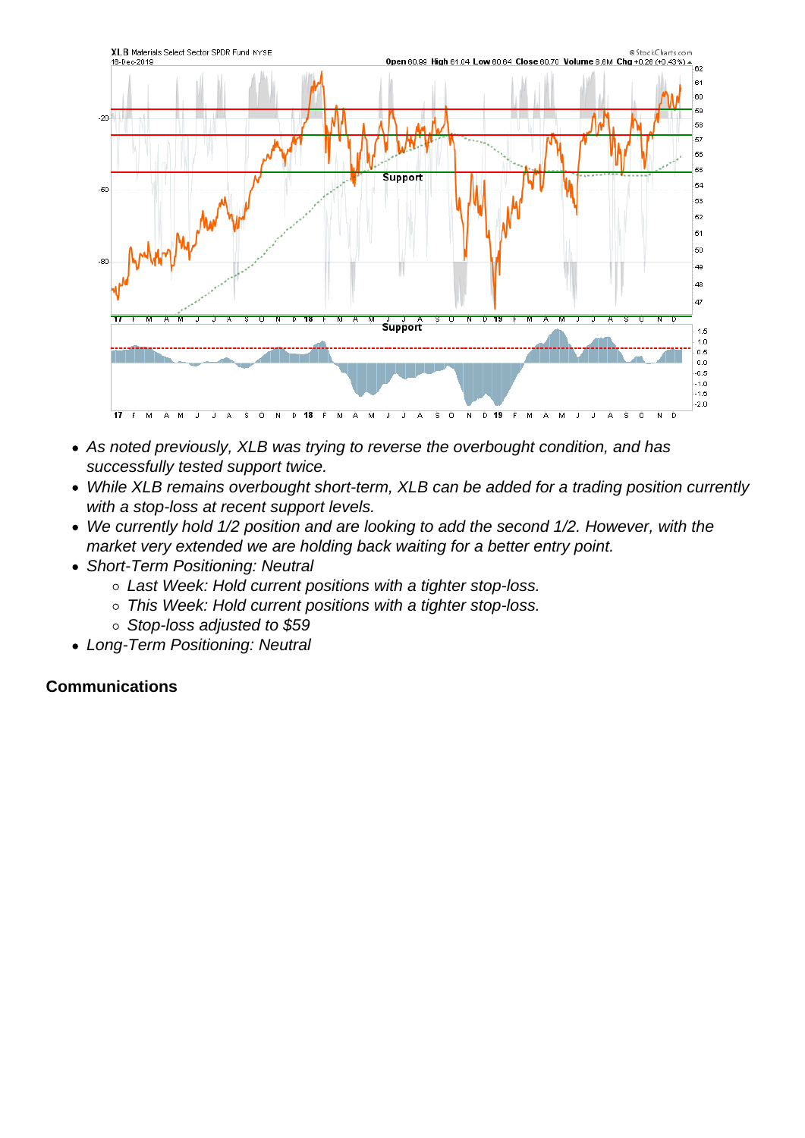- As noted previously, XLB was trying to reverse the overbought condition, and has successfully tested support twice.
- While XLB remains overbought short-term, XLB can be added for a trading position currently with a stop-loss at recent support levels.
- We currently hold 1/2 position and are looking to add the second 1/2. However, with the market very extended we are holding back waiting for a better entry point.
- Short-Term Positioning: Neutral
	- Last Week: Hold current positions with a tighter stop-loss.
	- This Week: Hold current positions with a tighter stop-loss.
	- $\circ$  Stop-loss adjusted to \$59
- Long-Term Positioning: Neutral

**Communications**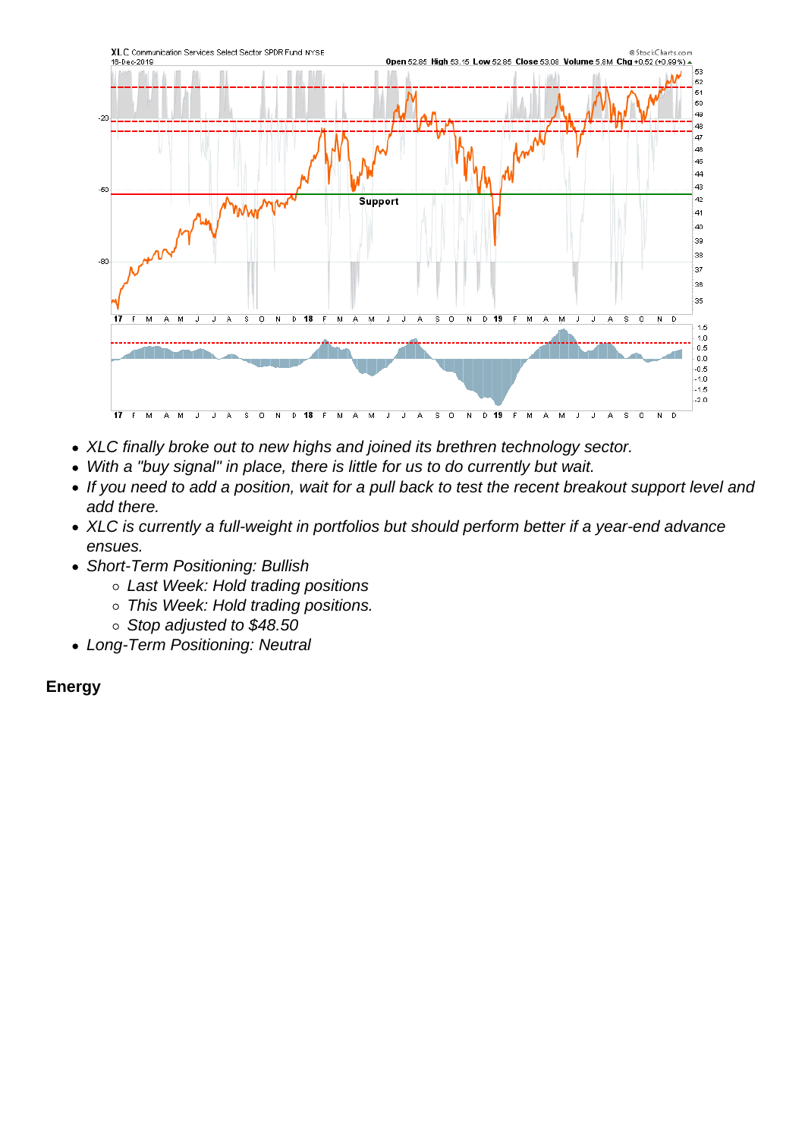- XLC finally broke out to new highs and joined its brethren technology sector.
- With a "buy signal" in place, there is little for us to do currently but wait.
- If you need to add a position, wait for a pull back to test the recent breakout support level and add there.
- XLC is currently a full-weight in portfolios but should perform better if a year-end advance ensues.
- Short-Term Positioning: Bullish
	- Last Week: Hold trading positions
	- o This Week: Hold trading positions.
	- $\circ$  Stop adjusted to \$48.50
- Long-Term Positioning: Neutral

Energy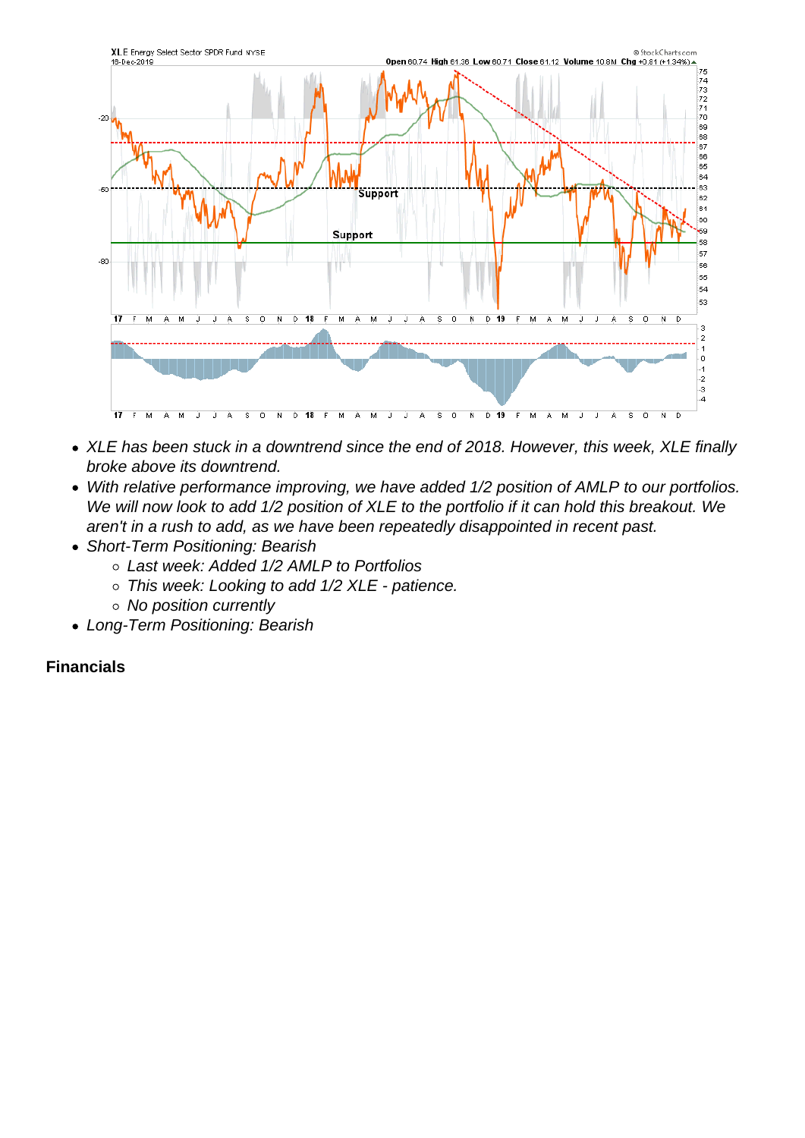- XLE has been stuck in a downtrend since the end of 2018. However, this week, XLE finally broke above its downtrend.
- With relative performance improving, we have added 1/2 position of AMLP to our portfolios. We will now look to add 1/2 position of XLE to the portfolio if it can hold this breakout. We aren't in a rush to add, as we have been repeatedly disappointed in recent past.
- Short-Term Positioning: Bearish
	- Last week: Added 1/2 AMLP to Portfolios
	- o This week: Looking to add 1/2 XLE patience.
	- No position currently
- Long-Term Positioning: Bearish

Financials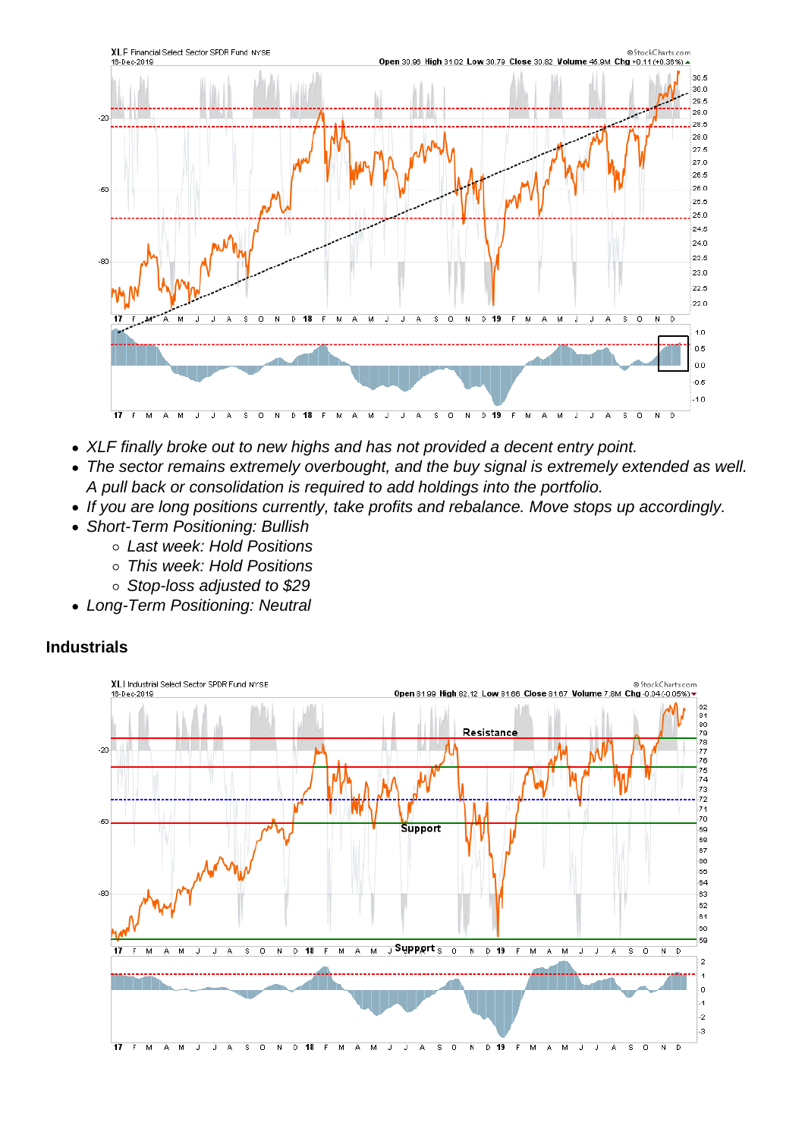- XLF finally broke out to new highs and has not provided a decent entry point.
- The sector remains extremely overbought, and the buy signal is extremely extended as well. A pull back or consolidation is required to add holdings into the portfolio.
- If you are long positions currently, take profits and rebalance. Move stops up accordingly.
- Short-Term Positioning: Bullish
	- Last week: Hold Positions
	- This week: Hold Positions
	- Stop-loss adjusted to \$29
- Long-Term Positioning: Neutral

Industrials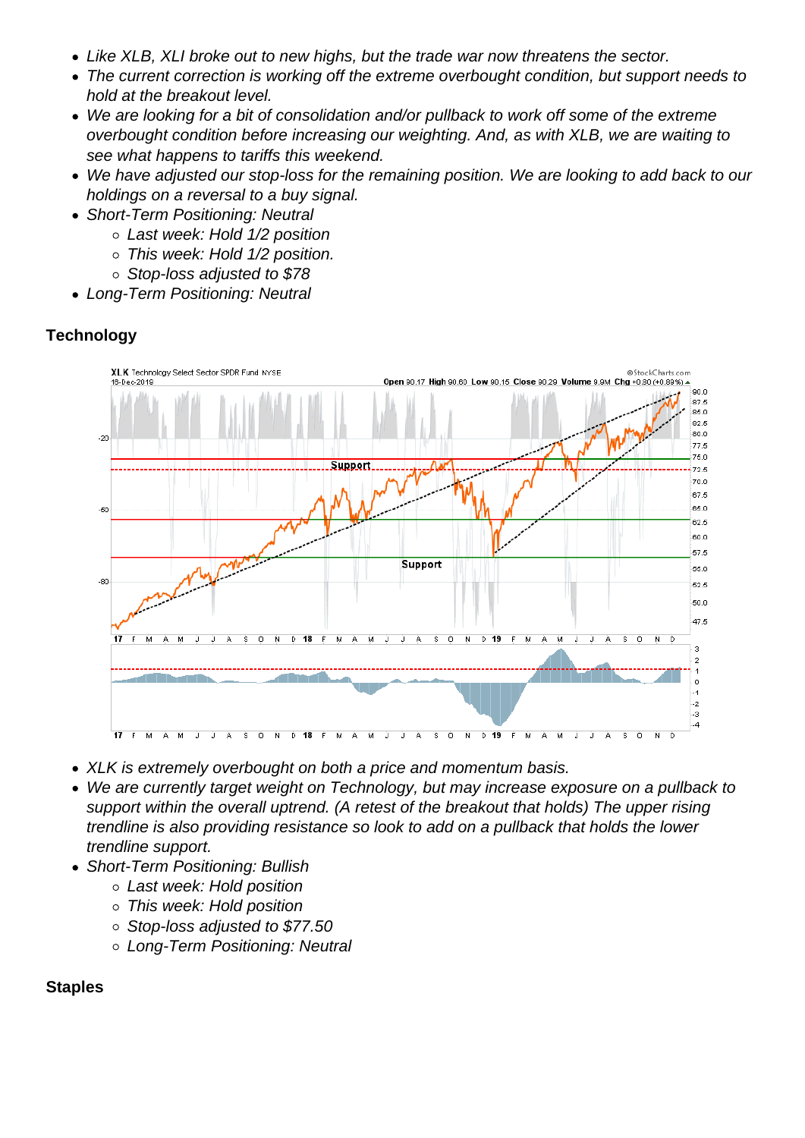- Like XLB, XLI broke out to new highs, but the trade war now threatens the sector.
- The current correction is working off the extreme overbought condition, but support needs to hold at the breakout level.
- We are looking for a bit of consolidation and/or pullback to work off some of the extreme overbought condition before increasing our weighting. And, as with XLB, we are waiting to see what happens to tariffs this weekend.
- We have adjusted our stop-loss for the remaining position. We are looking to add back to our holdings on a reversal to a buy signal.
- Short-Term Positioning: Neutral
	- Last week: Hold 1/2 position
	- o This week: Hold 1/2 position.
	- Stop-loss adjusted to \$78
- Long-Term Positioning: Neutral

**Technology** 

- XLK is extremely overbought on both a price and momentum basis.
- We are currently target weight on Technology, but may increase exposure on a pullback to support within the overall uptrend. (A retest of the breakout that holds) The upper rising trendline is also providing resistance so look to add on a pullback that holds the lower trendline support.
- Short-Term Positioning: Bullish
	- Last week: Hold position
	- This week: Hold position
	- Stop-loss adjusted to \$77.50
	- Long-Term Positioning: Neutral

**Staples**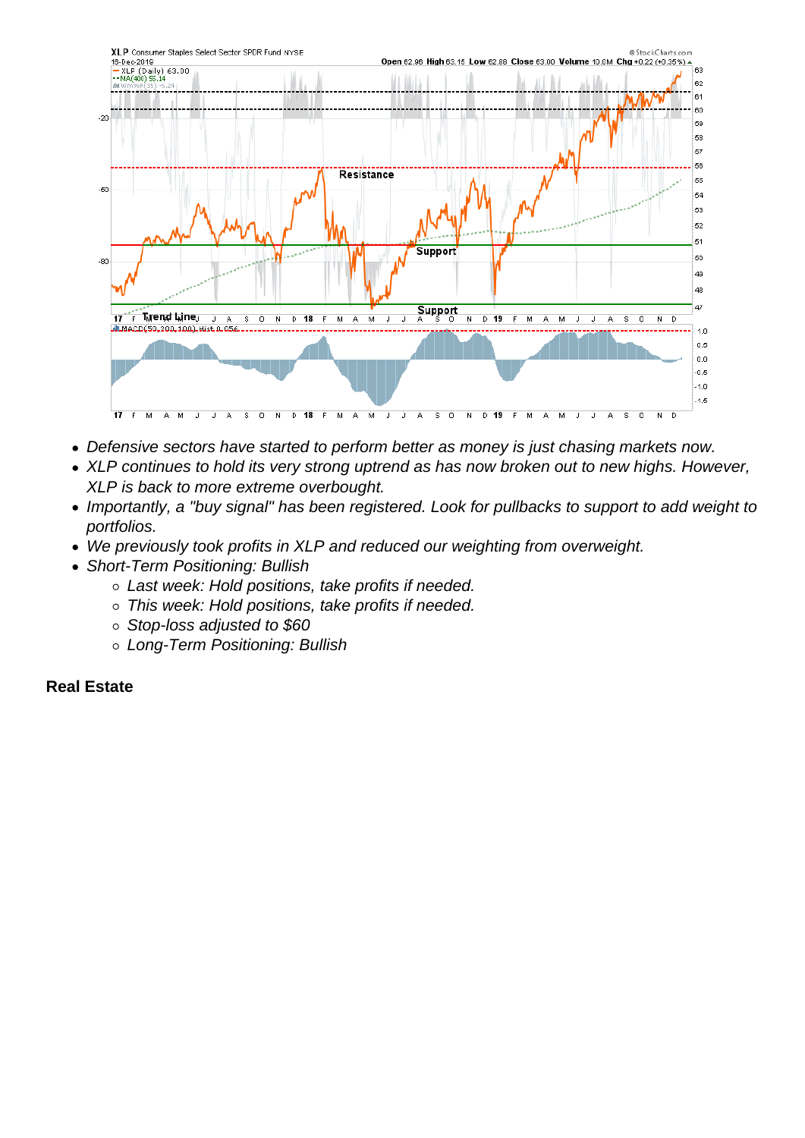- Defensive sectors have started to perform better as money is just chasing markets now.
- XLP continues to hold its very strong uptrend as has now broken out to new highs. However, XLP is back to more extreme overbought.
- Importantly, a "buy signal" has been registered. Look for pullbacks to support to add weight to portfolios.
- We previously took profits in XLP and reduced our weighting from overweight.
- Short-Term Positioning: Bullish
	- Last week: Hold positions, take profits if needed.
	- This week: Hold positions, take profits if needed.
	- o Stop-loss adjusted to \$60
	- Long-Term Positioning: Bullish

Real Estate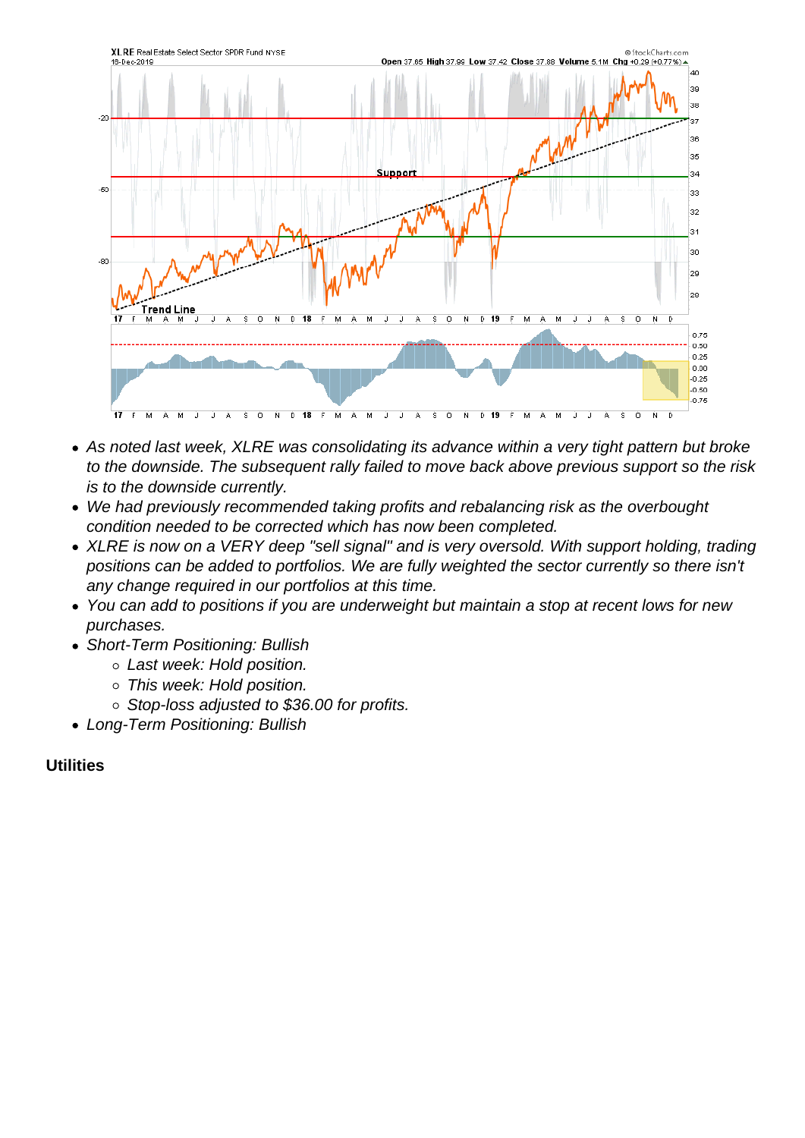- As noted last week, XLRE was consolidating its advance within a very tight pattern but broke to the downside. The subsequent rally failed to move back above previous support so the risk is to the downside currently.
- We had previously recommended taking profits and rebalancing risk as the overbought condition needed to be corrected which has now been completed.
- XLRE is now on a VERY deep "sell signal" and is very oversold. With support holding, trading positions can be added to portfolios. We are fully weighted the sector currently so there isn't any change required in our portfolios at this time.
- You can add to positions if you are underweight but maintain a stop at recent lows for new purchases.
- Short-Term Positioning: Bullish
	- Last week: Hold position.
	- This week: Hold position.
	- Stop-loss adjusted to \$36.00 for profits.
- Long-Term Positioning: Bullish

Utilities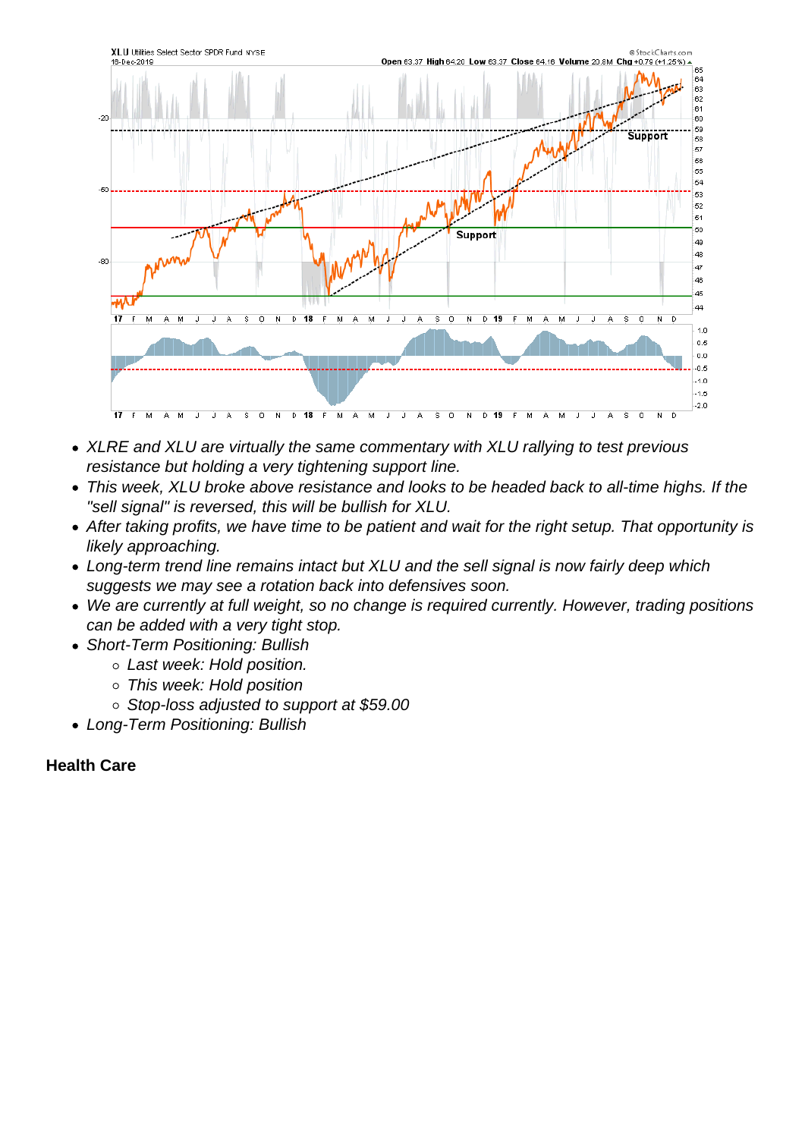- XLRE and XLU are virtually the same commentary with XLU rallying to test previous resistance but holding a very tightening support line.
- This week, XLU broke above resistance and looks to be headed back to all-time highs. If the "sell signal" is reversed, this will be bullish for XLU.
- After taking profits, we have time to be patient and wait for the right setup. That opportunity is likely approaching.
- Long-term trend line remains intact but XLU and the sell signal is now fairly deep which suggests we may see a rotation back into defensives soon.
- We are currently at full weight, so no change is required currently. However, trading positions can be added with a very tight stop.
- Short-Term Positioning: Bullish
	- Last week: Hold position.
	- This week: Hold position
	- Stop-loss adjusted to support at \$59.00
- Long-Term Positioning: Bullish

Health Care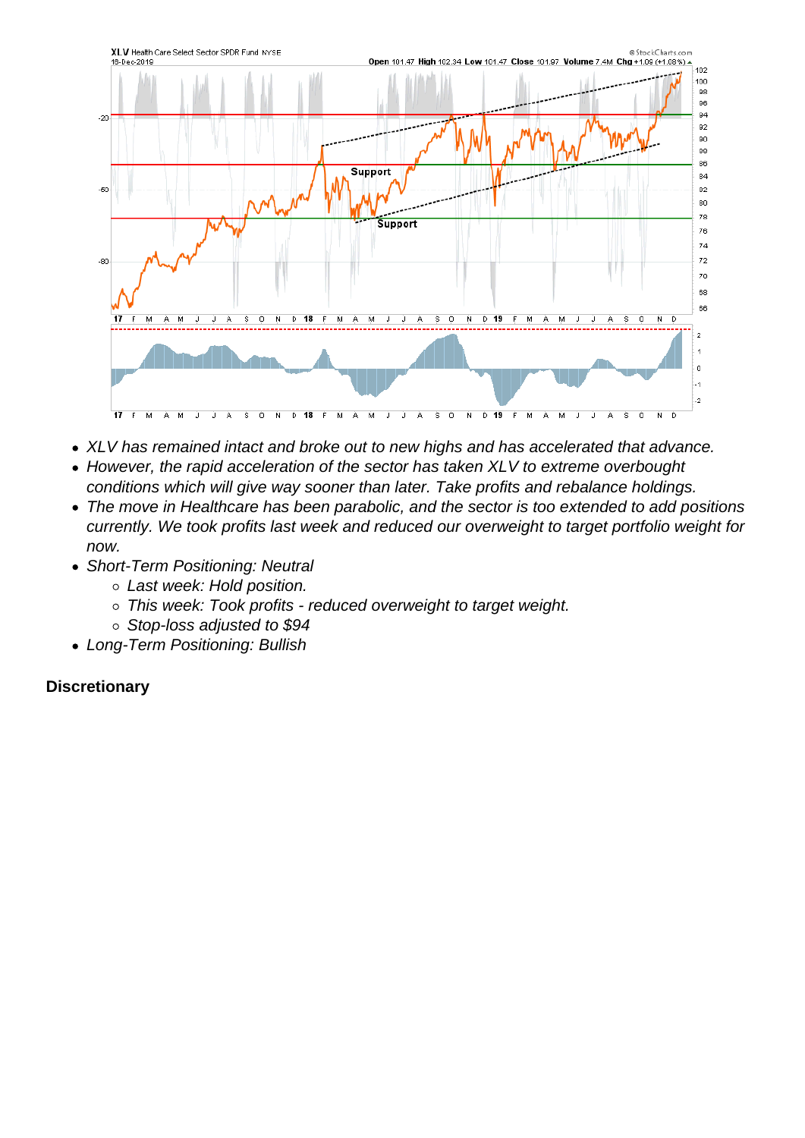- XLV has remained intact and broke out to new highs and has accelerated that advance.
- However, the rapid acceleration of the sector has taken XLV to extreme overbought conditions which will give way sooner than later. Take profits and rebalance holdings.
- The move in Healthcare has been parabolic, and the sector is too extended to add positions currently. We took profits last week and reduced our overweight to target portfolio weight for now.
- Short-Term Positioning: Neutral
	- Last week: Hold position.
	- This week: Took profits reduced overweight to target weight.
	- o Stop-loss adjusted to \$94
- Long-Term Positioning: Bullish

**Discretionary**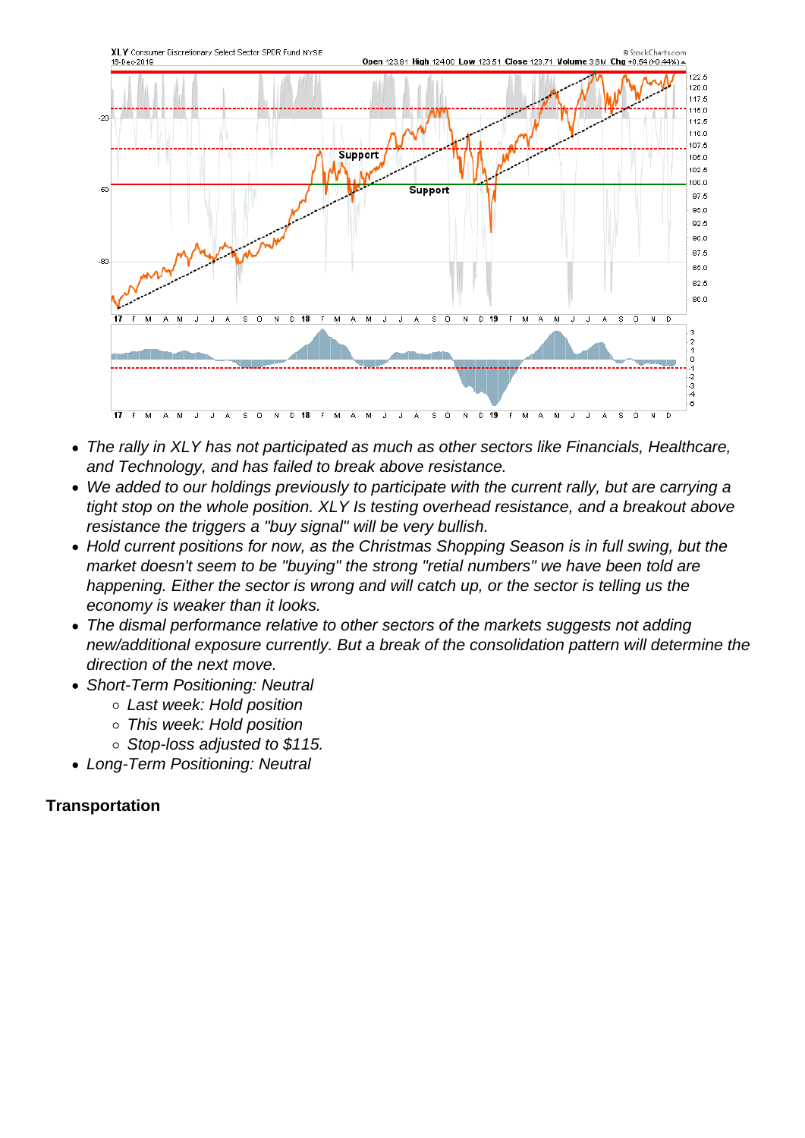- The rally in XLY has not participated as much as other sectors like Financials, Healthcare, and Technology, and has failed to break above resistance.
- We added to our holdings previously to participate with the current rally, but are carrying a tight stop on the whole position. XLY Is testing overhead resistance, and a breakout above resistance the triggers a "buy signal" will be very bullish.
- Hold current positions for now, as the Christmas Shopping Season is in full swing, but the market doesn't seem to be "buying" the strong "retial numbers" we have been told are happening. Either the sector is wrong and will catch up, or the sector is telling us the economy is weaker than it looks.
- The dismal performance relative to other sectors of the markets suggests not adding new/additional exposure currently. But a break of the consolidation pattern will determine the direction of the next move.
- Short-Term Positioning: Neutral
	- Last week: Hold position
	- This week: Hold position
	- o Stop-loss adjusted to \$115.
- Long-Term Positioning: Neutral

**Transportation**